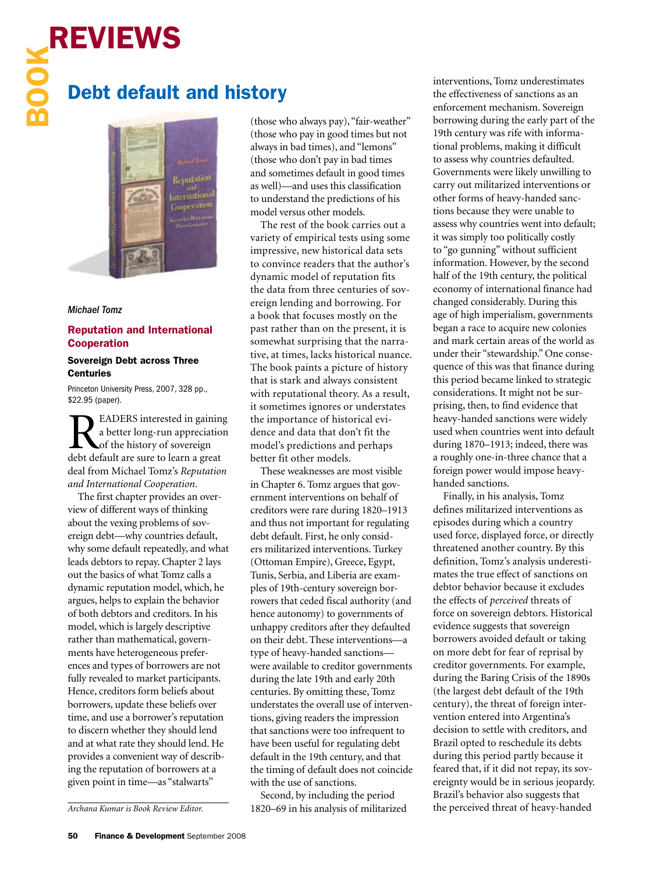# REVIEWS

# Debt default and history



### *Michael Tomz*

### Reputation and International Cooperation

### Sovereign Debt across Three **Centuries**

Princeton University Press, 2007, 328 pp., \$22.95 (paper).

READERS interested in gaining<br>a better long-run appreciation<br>debt default are sure to learn a great a better long-run appreciation of the history of sovereign debt default are sure to learn a great deal from Michael Tomz's *Reputation and International Cooperation*.

The first chapter provides an overview of different ways of thinking about the vexing problems of sovereign debt—why countries default, why some default repeatedly, and what leads debtors to repay. Chapter 2 lays out the basics of what Tomz calls a dynamic reputation model, which, he argues, helps to explain the behavior of both debtors and creditors. In his model, which is largely descriptive rather than mathematical, governments have heterogeneous preferences and types of borrowers are not fully revealed to market participants. Hence, creditors form beliefs about borrowers, update these beliefs over time, and use a borrower's reputation to discern whether they should lend and at what rate they should lend. He provides a convenient way of describing the reputation of borrowers at a given point in time—as "stalwarts"

(those who always pay), "fair-weather" (those who pay in good times but not always in bad times), and "lemons" (those who don't pay in bad times and sometimes default in good times as well)—and uses this classification to understand the predictions of his model versus other models.

The rest of the book carries out a variety of empirical tests using some impressive, new historical data sets to convince readers that the author's dynamic model of reputation fits the data from three centuries of sovereign lending and borrowing. For a book that focuses mostly on the past rather than on the present, it is somewhat surprising that the narrative, at times, lacks historical nuance. The book paints a picture of history that is stark and always consistent with reputational theory. As a result, it sometimes ignores or understates the importance of historical evidence and data that don't fit the model's predictions and perhaps better fit other models.

These weaknesses are most visible in Chapter 6. Tomz argues that government interventions on behalf of creditors were rare during 1820–1913 and thus not important for regulating debt default. First, he only considers militarized interventions. Turkey (Ottoman Empire), Greece, Egypt, Tunis, Serbia, and Liberia are examples of 19th-century sovereign borrowers that ceded fiscal authority (and hence autonomy) to governments of unhappy creditors after they defaulted on their debt. These interventions—a type of heavy-handed sanctions were available to creditor governments during the late 19th and early 20th centuries. By omitting these, Tomz understates the overall use of interventions, giving readers the impression that sanctions were too infrequent to have been useful for regulating debt default in the 19th century, and that the timing of default does not coincide with the use of sanctions.

Second, by including the period 1820–69 in his analysis of militarized interventions, Tomz underestimates the effectiveness of sanctions as an enforcement mechanism. Sovereign borrowing during the early part of the 19th century was rife with informational problems, making it difficult to assess why countries defaulted. Governments were likely unwilling to carry out militarized interventions or other forms of heavy-handed sanctions because they were unable to assess why countries went into default; it was simply too politically costly to "go gunning" without sufficient information. However, by the second half of the 19th century, the political economy of international finance had changed considerably. During this age of high imperialism, governments began a race to acquire new colonies and mark certain areas of the world as under their "stewardship." One consequence of this was that finance during this period became linked to strategic considerations. It might not be surprising, then, to find evidence that heavy-handed sanctions were widely used when countries went into default during 1870–1913; indeed, there was a roughly one-in-three chance that a foreign power would impose heavyhanded sanctions.

Finally, in his analysis, Tomz defines militarized interventions as episodes during which a country used force, displayed force, or directly threatened another country. By this definition, Tomz's analysis underestimates the true effect of sanctions on debtor behavior because it excludes the effects of *perceived* threats of force on sovereign debtors. Historical evidence suggests that sovereign borrowers avoided default or taking on more debt for fear of reprisal by creditor governments. For example, during the Baring Crisis of the 1890s (the largest debt default of the 19th century), the threat of foreign intervention entered into Argentina's decision to settle with creditors, and Brazil opted to reschedule its debts during this period partly because it feared that, if it did not repay, its sovereignty would be in serious jeopardy. Brazil's behavior also suggests that the perceived threat of heavy-handed

*Archana Kumar is Book Review Editor.*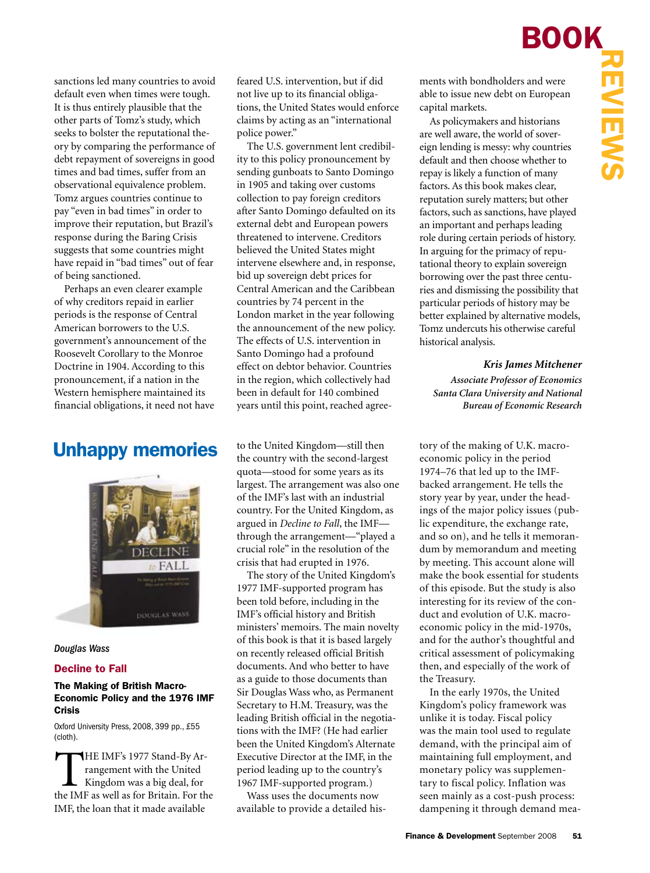sanctions led many countries to avoid default even when times were tough. It is thus entirely plausible that the other parts of Tomz's study, which seeks to bolster the reputational theory by comparing the performance of debt repayment of sovereigns in good times and bad times, suffer from an observational equivalence problem. Tomz argues countries continue to pay "even in bad times" in order to improve their reputation, but Brazil's response during the Baring Crisis suggests that some countries might have repaid in "bad times" out of fear of being sanctioned.

Perhaps an even clearer example of why creditors repaid in earlier periods is the response of Central American borrowers to the U.S. government's announcement of the Roosevelt Corollary to the Monroe Doctrine in 1904. According to this pronouncement, if a nation in the Western hemisphere maintained its financial obligations, it need not have

## Unhappy memories



### *Douglas Wass*

### Decline to Fall

### The Making of British Macro-Economic Policy and the 1976 IMF Crisis

Oxford University Press, 2008, 399 pp., £55 (cloth).

THE IMF's 1977 Stand-By Arrangement with the United Kingdom was a big deal, for the IMF as well as for Britain. For the rangement with the United Kingdom was a big deal, for IMF, the loan that it made available

feared U.S. intervention, but if did not live up to its financial obligations, the United States would enforce claims by acting as an "international police power."

The U.S. government lent credibility to this policy pronouncement by sending gunboats to Santo Domingo in 1905 and taking over customs collection to pay foreign creditors after Santo Domingo defaulted on its external debt and European powers threatened to intervene. Creditors believed the United States might intervene elsewhere and, in response, bid up sovereign debt prices for Central American and the Caribbean countries by 74 percent in the London market in the year following the announcement of the new policy. The effects of U.S. intervention in Santo Domingo had a profound effect on debtor behavior. Countries in the region, which collectively had been in default for 140 combined years until this point, reached agree-

to the United Kingdom—still then the country with the second-largest quota—stood for some years as its largest. The arrangement was also one of the IMF's last with an industrial country. For the United Kingdom, as argued in *Decline to Fall*, the IMF through the arrangement—"played a crucial role" in the resolution of the crisis that had erupted in 1976.

The story of the United Kingdom's 1977 IMF-supported program has been told before, including in the IMF's official history and British ministers' memoirs. The main novelty of this book is that it is based largely on recently released official British documents. And who better to have as a guide to those documents than Sir Douglas Wass who, as Permanent Secretary to H.M. Treasury, was the leading British official in the negotiations with the IMF? (He had earlier been the United Kingdom's Alternate Executive Director at the IMF, in the period leading up to the country's 1967 IMF-supported program.)

Wass uses the documents now available to provide a detailed hisments with bondholders and were able to issue new debt on European capital markets.

As policymakers and historians are well aware, the world of sovereign lending is messy: why countries default and then choose whether to repay is likely a function of many factors. As this book makes clear, reputation surely matters; but other factors, such as sanctions, have played an important and perhaps leading role during certain periods of history. In arguing for the primacy of reputational theory to explain sovereign borrowing over the past three centuries and dismissing the possibility that particular periods of history may be better explained by alternative models, Tomz undercuts his otherwise careful historical analysis.

### *Kris James Mitchener*

*Associate Professor of Economics Santa Clara University and National Bureau of Economic Research*

tory of the making of U.K. macroeconomic policy in the period 1974–76 that led up to the IMFbacked arrangement. He tells the story year by year, under the headings of the major policy issues (public expenditure, the exchange rate, and so on), and he tells it memorandum by memorandum and meeting by meeting. This account alone will make the book essential for students of this episode. But the study is also interesting for its review of the conduct and evolution of U.K. macroeconomic policy in the mid-1970s, and for the author's thoughtful and critical assessment of policymaking then, and especially of the work of the Treasury.

In the early 1970s, the United Kingdom's policy framework was unlike it is today. Fiscal policy was the main tool used to regulate demand, with the principal aim of maintaining full employment, and monetary policy was supplementary to fiscal policy. Inflation was seen mainly as a cost-push process: dampening it through demand mea-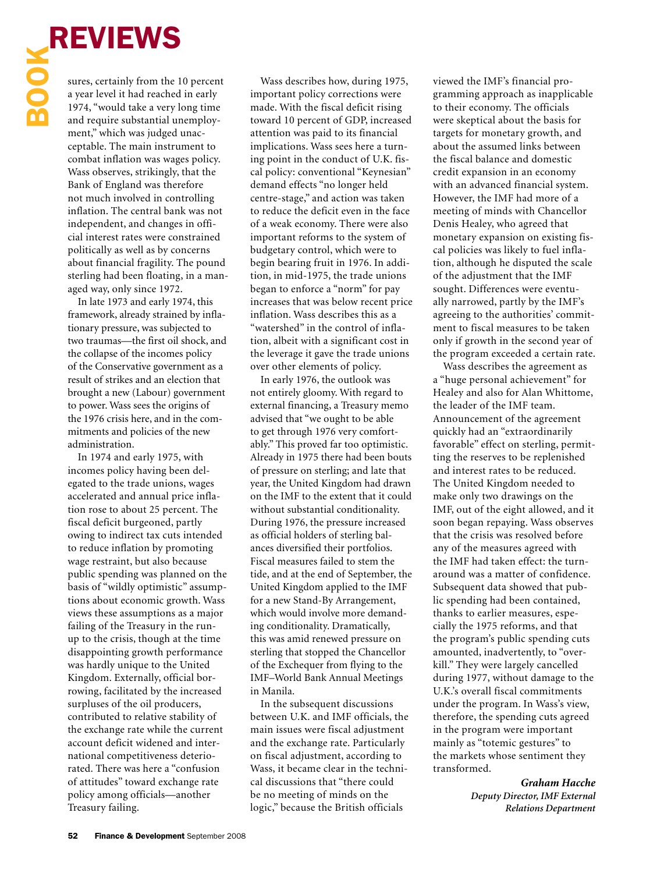

**REVIEWS**<br>
sures, certainly from the 1<br>
a year level it had reached<br>
1974, "would take a very level and require substantial un sures, certainly from the 10 percent a year level it had reached in early 1974, "would take a very long time and require substantial unemployment," which was judged unacceptable. The main instrument to combat inflation was wages policy. Wass observes, strikingly, that the Bank of England was therefore not much involved in controlling inflation. The central bank was not independent, and changes in official interest rates were constrained politically as well as by concerns about financial fragility. The pound sterling had been floating, in a managed way, only since 1972.

In late 1973 and early 1974, this framework, already strained by inflationary pressure, was subjected to two traumas—the first oil shock, and the collapse of the incomes policy of the Conservative government as a result of strikes and an election that brought a new (Labour) government to power. Wass sees the origins of the 1976 crisis here, and in the commitments and policies of the new administration.-

In 1974 and early 1975, with incomes policy having been delegated to the trade unions, wages accelerated and annual price inflation rose to about 25 percent. The fiscal deficit burgeoned, partly owing to indirect tax cuts intended to reduce inflation by promoting wage restraint, but also because public spending was planned on the basis of "wildly optimistic" assumptions about economic growth. Wass views these assumptions as a major failing of the Treasury in the runup to the crisis, though at the time disappointing growth performance was hardly unique to the United Kingdom. Externally, official borrowing, facilitated by the increased surpluses of the oil producers, contributed to relative stability of the exchange rate while the current account deficit widened and international competitiveness deteriorated. There was here a "confusion of attitudes" toward exchange rate policy among officials—another Treasury failing.-

Wass describes how, during 1975, important policy corrections were made. With the fiscal deficit rising toward 10 percent of GDP, increased attention was paid to its financial implications. Wass sees here a turning point in the conduct of U.K. fiscal policy: conventional "Keynesian" demand effects "no longer held centre-stage," and action was taken to reduce the deficit even in the face of a weak economy. There were also important reforms to the system of budgetary control, which were to begin bearing fruit in 1976. In addition, in mid-1975, the trade unions began to enforce a "norm" for pay increases that was below recent price inflation. Wass describes this as a "watershed" in the control of inflation, albeit with a significant cost in the leverage it gave the trade unions over other elements of policy.

In early 1976, the outlook was not entirely gloomy. With regard to external financing, a Treasury memo advised that "we ought to be able to get through 1976 very comfortably." This proved far too optimistic. Already in 1975 there had been bouts of pressure on sterling; and late that year, the United Kingdom had drawn on the IMF to the extent that it could without substantial conditionality. During 1976, the pressure increased as official holders of sterling balances diversified their portfolios. Fiscal measures failed to stem the tide, and at the end of September, the United Kingdom applied to the IMF for a new Stand-By Arrangement, which would involve more demanding conditionality. Dramatically, this was amid renewed pressure on sterling that stopped the Chancellor of the Exchequer from flying to the IMF–World Bank Annual Meetings in Manila.

In the subsequent discussions between U.K. and IMF officials, the main issues were fiscal adjustment and the exchange rate. Particularly on fiscal adjustment, according to Wass, it became clear in the technical discussions that "there could be no meeting of minds on the logic," because the British officials

viewed the IMF's financial programming approach as inapplicable to their economy. The officials were skeptical about the basis for targets for monetary growth, and about the assumed links between the fiscal balance and domestic credit expansion in an economy with an advanced financial system. However, the IMF had more of a meeting of minds with Chancellor Denis Healey, who agreed that monetary expansion on existing fiscal policies was likely to fuel inflation, although he disputed the scale of the adjustment that the IMF sought. Differences were eventually narrowed, partly by the IMF's agreeing to the authorities' commitment to fiscal measures to be taken only if growth in the second year of the program exceeded a certain rate.-

Wass describes the agreement as a "huge personal achievement" for Healey and also for Alan Whittome, the leader of the IMF team. Announcement of the agreement quickly had an "extraordinarily favorable" effect on sterling, permitting the reserves to be replenished and interest rates to be reduced. The United Kingdom needed to make only two drawings on the IMF, out of the eight allowed, and it soon began repaying. Wass observes that the crisis was resolved before any of the measures agreed with the IMF had taken effect: the turnaround was a matter of confidence. Subsequent data showed that public spending had been contained, thanks to earlier measures, especially the 1975 reforms, and that the program's public spending cuts amounted, inadvertently, to "overkill." They were largely cancelled during 1977, without damage to the U.K.'s overall fiscal commitments under the program. In Wass's view, therefore, the spending cuts agreed in the program were important mainly as "totemic gestures" to the markets whose sentiment they transformed.-

> *Graham Hacche Deputy Director, IMF External Relations Department*